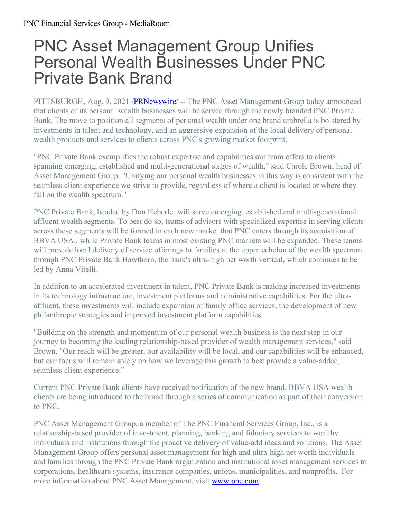## PNC Asset Management Group Unifies Personal Wealth Businesses Under PNC Private Bank Brand

PITTSBURGH, Aug. 9, 2021 [/PRNewswire](http://www.prnewswire.com/)/ -- The PNC Asset Management Group today announced that clients of its personal wealth businesses will be served through the newly branded PNC Private Bank. The move to position all segments of personal wealth under one brand umbrella is bolstered by investments in talent and technology, and an aggressive expansion of the local delivery of personal wealth products and services to clients across PNC's growing market footprint.

"PNC Private Bank exemplifies the robust expertise and capabilities our team offers to clients spanning emerging, established and multi-generational stages of wealth," said Carole Brown, head of Asset Management Group. "Unifying our personal wealth businesses in this way is consistent with the seamless client experience we strive to provide, regardless of where a client is located or where they fall on the wealth spectrum."

PNC Private Bank, headed by Don Heberle, will serve emerging, established and multi-generational affluent wealth segments. To best do so, teams of advisors with specialized expertise in serving clients across these segments will be formed in each new market that PNC enters through its acquisition of BBVA USA., while Private Bank teams in most existing PNC markets will be expanded. These teams will provide local delivery of service offerings to families at the upper echelon of the wealth spectrum through PNC Private Bank Hawthorn, the bank's ultra-high net worth vertical, which continues to be led by Anna Vitelli.

In addition to an accelerated investment in talent, PNC Private Bank is making increased investments in its technology infrastructure, investment platforms and administrative capabilities. For the ultraaffluent, these investments will include expansion of family office services, the development of new philanthropic strategies and improved investment platform capabilities.

"Building on the strength and momentum of our personal wealth business is the next step in our journey to becoming the leading relationship-based provider of wealth management services," said Brown. "Our reach will be greater, our availability will be local, and our capabilities will be enhanced, but our focus will remain solely on how we leverage this growth to best provide a value-added, seamless client experience."

Current PNC Private Bank clients have received notification of the new brand. BBVA USA wealth clients are being introduced to the brand through a series of communication as part of their conversion to PNC.

PNC Asset Management Group, a member of The PNC Financial Services Group, Inc., is a relationship-based provider of investment, planning, banking and fiduciary services to wealthy individuals and institutions through the proactive delivery of value-add ideas and solutions. The Asset Management Group offers personal asset management for high and ultra-high net worth individuals and families through the PNC Private Bank organization and institutional asset management services to corporations, healthcare systems, insurance companies, unions, municipalities, and nonprofits. For more information about PNC Asset Management, visit **[www.pnc.com](https://c212.net/c/link/?t=0&l=en&o=3253407-1&h=515231292&u=http%3A%2F%2Fwww.pnc.com%2F&a=www.pnc.com)**.